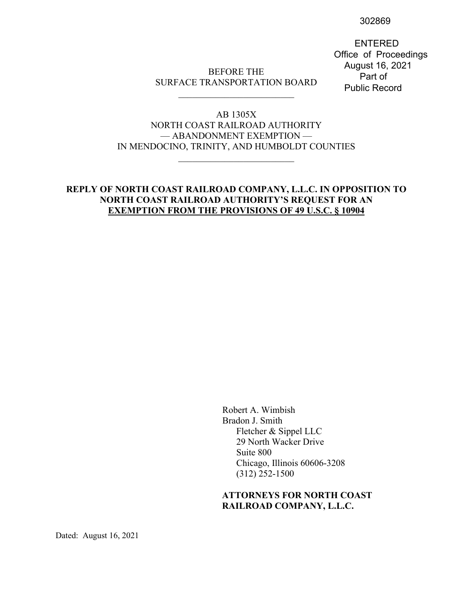302869

 ENTERED Office of Proceedings August 16, 2021 Part of Public Record

## BEFORE THE SURFACE TRANSPORTATION BOARD \_\_\_\_\_\_\_\_\_\_\_\_\_\_\_\_\_\_\_\_\_\_\_\_\_

## AB 1305X NORTH COAST RAILROAD AUTHORITY — ABANDONMENT EXEMPTION — IN MENDOCINO, TRINITY, AND HUMBOLDT COUNTIES

\_\_\_\_\_\_\_\_\_\_\_\_\_\_\_\_\_\_\_\_\_\_\_\_\_

## **REPLY OF NORTH COAST RAILROAD COMPANY, L.L.C. IN OPPOSITION TO NORTH COAST RAILROAD AUTHORITY'S REQUEST FOR AN EXEMPTION FROM THE PROVISIONS OF 49 U.S.C. § 10904**

Robert A. Wimbish Bradon J. Smith Fletcher & Sippel LLC 29 North Wacker Drive Suite 800 Chicago, Illinois 60606-3208 (312) 252-1500

## **ATTORNEYS FOR NORTH COAST RAILROAD COMPANY, L.L.C.**

Dated: August 16, 2021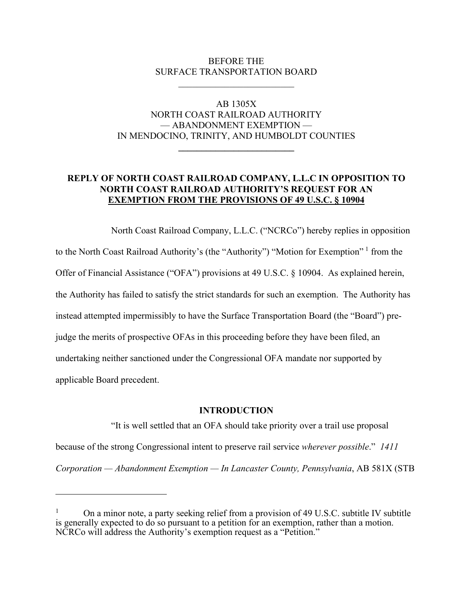## BEFORE THE SURFACE TRANSPORTATION BOARD

## AB 1305X NORTH COAST RAILROAD AUTHORITY — ABANDONMENT EXEMPTION — IN MENDOCINO, TRINITY, AND HUMBOLDT COUNTIES

**\_\_\_\_\_\_\_\_\_\_\_\_\_\_\_\_\_\_\_\_\_\_\_\_\_**

## **REPLY OF NORTH COAST RAILROAD COMPANY, L.L.C IN OPPOSITION TO NORTH COAST RAILROAD AUTHORITY'S REQUEST FOR AN EXEMPTION FROM THE PROVISIONS OF 49 U.S.C. § 10904**

North Coast Railroad Company, L.L.C. ("NCRCo") hereby replies in opposition to the North Coast Railroad Authority's (the "Authority") "Motion for Exemption" [1](#page-1-0) from the Offer of Financial Assistance ("OFA") provisions at 49 U.S.C. § 10904. As explained herein, the Authority has failed to satisfy the strict standards for such an exemption. The Authority has instead attempted impermissibly to have the Surface Transportation Board (the "Board") prejudge the merits of prospective OFAs in this proceeding before they have been filed, an undertaking neither sanctioned under the Congressional OFA mandate nor supported by applicable Board precedent.

## **INTRODUCTION**

"It is well settled that an OFA should take priority over a trail use proposal because of the strong Congressional intent to preserve rail service *wherever possible*." *1411 Corporation — Abandonment Exemption — In Lancaster County, Pennsylvania*, AB 581X (STB

<span id="page-1-0"></span><sup>1</sup> On a minor note, a party seeking relief from a provision of 49 U.S.C. subtitle IV subtitle is generally expected to do so pursuant to a petition for an exemption, rather than a motion. NCRCo will address the Authority's exemption request as a "Petition."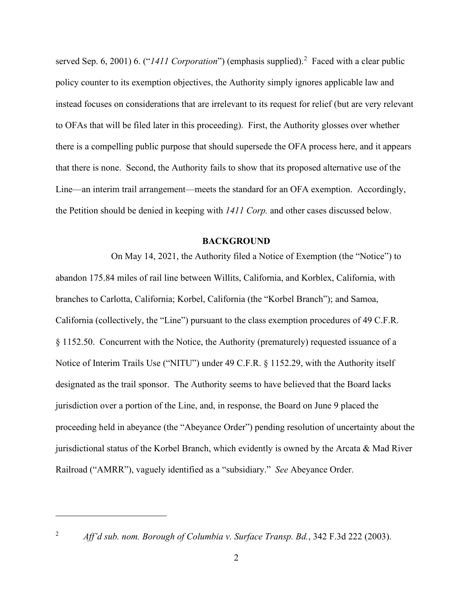served Sep. 6, [2](#page-2-0)001) 6. ("*1411 Corporation*") (emphasis supplied).<sup>2</sup> Faced with a clear public policy counter to its exemption objectives, the Authority simply ignores applicable law and instead focuses on considerations that are irrelevant to its request for relief (but are very relevant to OFAs that will be filed later in this proceeding). First, the Authority glosses over whether there is a compelling public purpose that should supersede the OFA process here, and it appears that there is none. Second, the Authority fails to show that its proposed alternative use of the Line—an interim trail arrangement—meets the standard for an OFA exemption. Accordingly, the Petition should be denied in keeping with *1411 Corp.* and other cases discussed below.

### **BACKGROUND**

On May 14, 2021, the Authority filed a Notice of Exemption (the "Notice") to abandon 175.84 miles of rail line between Willits, California, and Korblex, California, with branches to Carlotta, California; Korbel, California (the "Korbel Branch"); and Samoa, California (collectively, the "Line") pursuant to the class exemption procedures of 49 C.F.R. § 1152.50. Concurrent with the Notice, the Authority (prematurely) requested issuance of a Notice of Interim Trails Use ("NITU") under 49 C.F.R. § 1152.29, with the Authority itself designated as the trail sponsor. The Authority seems to have believed that the Board lacks jurisdiction over a portion of the Line, and, in response, the Board on June 9 placed the proceeding held in abeyance (the "Abeyance Order") pending resolution of uncertainty about the jurisdictional status of the Korbel Branch, which evidently is owned by the Arcata & Mad River Railroad ("AMRR"), vaguely identified as a "subsidiary." *See* Abeyance Order.

<span id="page-2-0"></span>

<sup>2</sup> *Aff'd sub. nom. Borough of Columbia v. Surface Transp. Bd.*, 342 F.3d 222 (2003).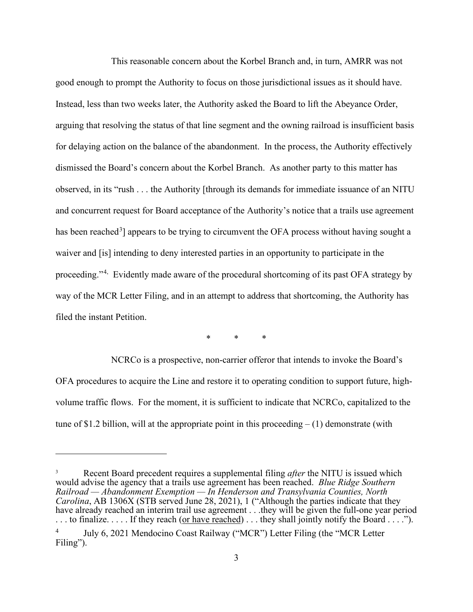This reasonable concern about the Korbel Branch and, in turn, AMRR was not good enough to prompt the Authority to focus on those jurisdictional issues as it should have. Instead, less than two weeks later, the Authority asked the Board to lift the Abeyance Order, arguing that resolving the status of that line segment and the owning railroad is insufficient basis for delaying action on the balance of the abandonment. In the process, the Authority effectively dismissed the Board's concern about the Korbel Branch. As another party to this matter has observed, in its "rush . . . the Authority [through its demands for immediate issuance of an NITU and concurrent request for Board acceptance of the Authority's notice that a trails use agreement has been reached<sup>[3](#page-3-0)</sup>] appears to be trying to circumvent the OFA process without having sought a waiver and [is] intending to deny interested parties in an opportunity to participate in the proceeding."[4](#page-3-1), Evidently made aware of the procedural shortcoming of its past OFA strategy by way of the MCR Letter Filing, and in an attempt to address that shortcoming, the Authority has filed the instant Petition.

\* \* \*

NCRCo is a prospective, non-carrier offeror that intends to invoke the Board's OFA procedures to acquire the Line and restore it to operating condition to support future, highvolume traffic flows. For the moment, it is sufficient to indicate that NCRCo, capitalized to the tune of \$1.2 billion, will at the appropriate point in this proceeding  $- (1)$  demonstrate (with

<span id="page-3-0"></span><sup>3</sup> Recent Board precedent requires a supplemental filing *after* the NITU is issued which would advise the agency that a trails use agreement has been reached. *Blue Ridge Southern Railroad — Abandonment Exemption — In Henderson and Transylvania Counties, North Carolina*, AB 1306X (STB served June 28, 2021), 1 ("Although the parties indicate that they have already reached an interim trail use agreement . . .they will be given the full-one year period . . . to finalize. . . . . If they reach (or have reached) . . . they shall jointly notify the Board . . . .").

<span id="page-3-1"></span><sup>4</sup> July 6, 2021 Mendocino Coast Railway ("MCR") Letter Filing (the "MCR Letter Filing").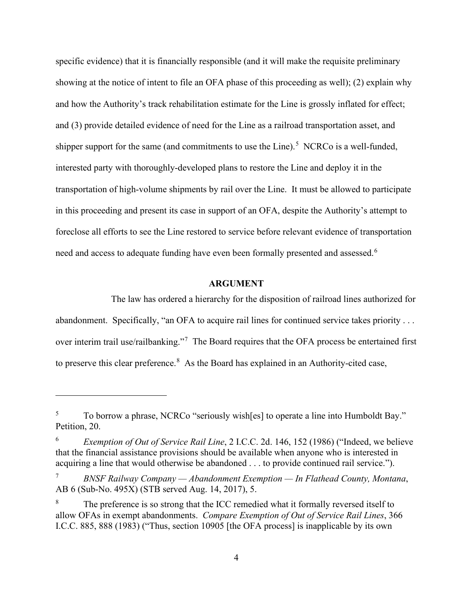specific evidence) that it is financially responsible (and it will make the requisite preliminary showing at the notice of intent to file an OFA phase of this proceeding as well); (2) explain why and how the Authority's track rehabilitation estimate for the Line is grossly inflated for effect; and (3) provide detailed evidence of need for the Line as a railroad transportation asset, and shipper support for the same (and commitments to use the Line).<sup>[5](#page-4-0)</sup> NCRCo is a well-funded, interested party with thoroughly-developed plans to restore the Line and deploy it in the transportation of high-volume shipments by rail over the Line. It must be allowed to participate in this proceeding and present its case in support of an OFA, despite the Authority's attempt to foreclose all efforts to see the Line restored to service before relevant evidence of transportation need and access to adequate funding have even been formally presented and assessed.  $^6$  $^6$ 

#### **ARGUMENT**

The law has ordered a hierarchy for the disposition of railroad lines authorized for abandonment. Specifically, "an OFA to acquire rail lines for continued service takes priority . . . over interim trail use/railbanking."<sup>[7](#page-4-2)</sup> The Board requires that the OFA process be entertained first to preserve this clear preference.<sup>[8](#page-4-3)</sup> As the Board has explained in an Authority-cited case,

<span id="page-4-0"></span><sup>&</sup>lt;sup>5</sup> To borrow a phrase, NCRCo "seriously wish[es] to operate a line into Humboldt Bay." Petition, 20.

<span id="page-4-1"></span><sup>6</sup> *Exemption of Out of Service Rail Line*, 2 I.C.C. 2d. 146, 152 (1986) ("Indeed, we believe that the financial assistance provisions should be available when anyone who is interested in acquiring a line that would otherwise be abandoned . . . to provide continued rail service.").

<span id="page-4-2"></span><sup>7</sup> *BNSF Railway Company — Abandonment Exemption — In Flathead County, Montana*, AB 6 (Sub-No. 495X) (STB served Aug. 14, 2017), 5.

<span id="page-4-3"></span>The preference is so strong that the ICC remedied what it formally reversed itself to allow OFAs in exempt abandonments. *Compare Exemption of Out of Service Rail Lines*, 366 I.C.C. 885, 888 (1983) ("Thus, section 10905 [the OFA process] is inapplicable by its own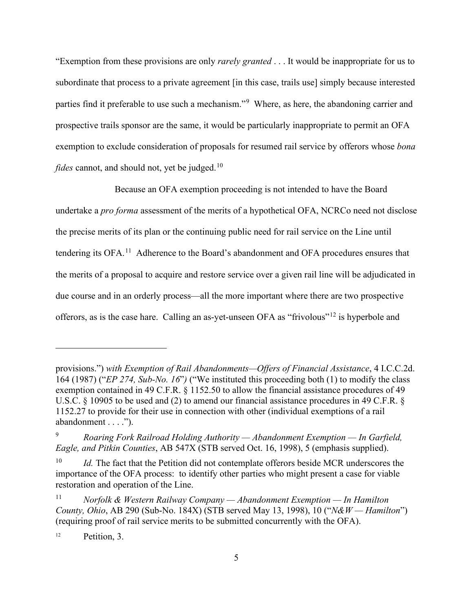"Exemption from these provisions are only *rarely granted* . . . It would be inappropriate for us to subordinate that process to a private agreement [in this case, trails use] simply because interested parties find it preferable to use such a mechanism."[9](#page-5-0) Where, as here, the abandoning carrier and prospective trails sponsor are the same, it would be particularly inappropriate to permit an OFA exemption to exclude consideration of proposals for resumed rail service by offerors whose *bona fides* cannot, and should not, yet be judged. [10](#page-5-1)

Because an OFA exemption proceeding is not intended to have the Board undertake a *pro forma* assessment of the merits of a hypothetical OFA, NCRCo need not disclose the precise merits of its plan or the continuing public need for rail service on the Line until tendering its OFA.<sup>[11](#page-5-2)</sup> Adherence to the Board's abandonment and OFA procedures ensures that the merits of a proposal to acquire and restore service over a given rail line will be adjudicated in due course and in an orderly process—all the more important where there are two prospective offerors, as is the case hare. Calling an as-yet-unseen OFA as "frivolous"[12](#page-5-3) is hyperbole and

<span id="page-5-3"></span><sup>12</sup> Petition, 3.

provisions.") *with Exemption of Rail Abandonments—Offers of Financial Assistance*, 4 I.C.C.2d. 164 (1987) ("*EP 274, Sub-No. 16*"*)* ("We instituted this proceeding both (1) to modify the class exemption contained in 49 C.F.R. § 1152.50 to allow the financial assistance procedures of 49 U.S.C. § 10905 to be used and (2) to amend our financial assistance procedures in 49 C.F.R. § 1152.27 to provide for their use in connection with other (individual exemptions of a rail abandonment . . . .").

<span id="page-5-0"></span><sup>9</sup> *Roaring Fork Railroad Holding Authority — Abandonment Exemption — In Garfield, Eagle, and Pitkin Counties*, AB 547X (STB served Oct. 16, 1998), 5 (emphasis supplied).

<span id="page-5-1"></span><sup>&</sup>lt;sup>10</sup> *Id.* The fact that the Petition did not contemplate offerors beside MCR underscores the importance of the OFA process: to identify other parties who might present a case for viable restoration and operation of the Line.

<span id="page-5-2"></span><sup>11</sup> *Norfolk & Western Railway Company — Abandonment Exemption — In Hamilton County, Ohio*, AB 290 (Sub-No. 184X) (STB served May 13, 1998), 10 ("*N&W — Hamilton*") (requiring proof of rail service merits to be submitted concurrently with the OFA).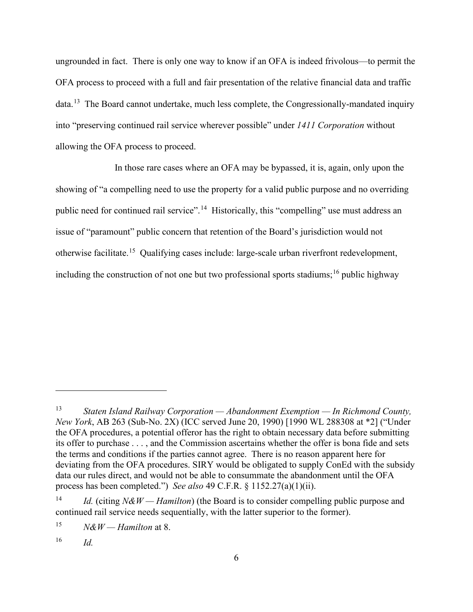ungrounded in fact. There is only one way to know if an OFA is indeed frivolous—to permit the OFA process to proceed with a full and fair presentation of the relative financial data and traffic data.<sup>13</sup> The Board cannot undertake, much less complete, the Congressionally-mandated inquiry into "preserving continued rail service wherever possible" under *1411 Corporation* without allowing the OFA process to proceed.

In those rare cases where an OFA may be bypassed, it is, again, only upon the showing of "a compelling need to use the property for a valid public purpose and no overriding public need for continued rail service".<sup>[14](#page-6-1)</sup> Historically, this "compelling" use must address an issue of "paramount" public concern that retention of the Board's jurisdiction would not otherwise facilitate.<sup>[15](#page-6-2)</sup> Qualifying cases include: large-scale urban riverfront redevelopment, including the construction of not one but two professional sports stadiums; [16](#page-6-3) public highway

<span id="page-6-0"></span><sup>13</sup> *Staten Island Railway Corporation — Abandonment Exemption — In Richmond County, New York*, AB 263 (Sub-No. 2X) (ICC served June 20, 1990) [1990 WL 288308 at \*2] ("Under the OFA procedures, a potential offeror has the right to obtain necessary data before submitting its offer to purchase . . . , and the Commission ascertains whether the offer is bona fide and sets the terms and conditions if the parties cannot agree. There is no reason apparent here for deviating from the OFA procedures. SIRY would be obligated to supply ConEd with the subsidy data our rules direct, and would not be able to consummate the abandonment until the OFA process has been completed.") *See also* 49 C.F.R. § 1152.27(a)(1)(ii).

<span id="page-6-1"></span><sup>&</sup>lt;sup>14</sup> *Id.* (citing  $N\&W$  — *Hamilton*) (the Board is to consider compelling public purpose and continued rail service needs sequentially, with the latter superior to the former).

<span id="page-6-2"></span><sup>&</sup>lt;sup>15</sup> *N&W* — *Hamilton* at 8.

<span id="page-6-3"></span><sup>16</sup> *Id.*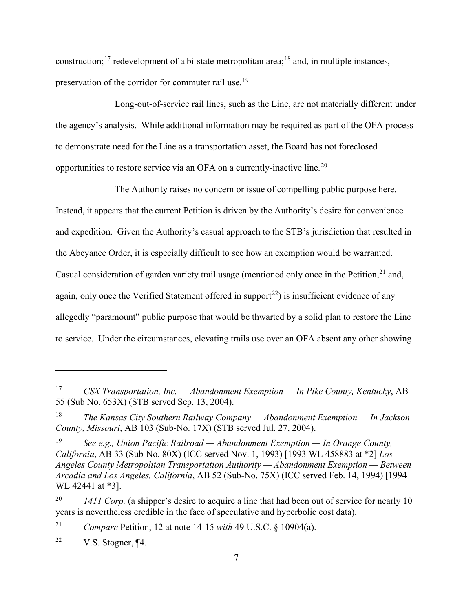construction;<sup>[17](#page-7-0)</sup> redevelopment of a bi-state metropolitan area;<sup>[18](#page-7-1)</sup> and, in multiple instances, preservation of the corridor for commuter rail use.<sup>[19](#page-7-2)</sup>

Long-out-of-service rail lines, such as the Line, are not materially different under the agency's analysis. While additional information may be required as part of the OFA process to demonstrate need for the Line as a transportation asset, the Board has not foreclosed opportunities to restore service via an OFA on a currently-inactive line.<sup>[20](#page-7-3)</sup>

The Authority raises no concern or issue of compelling public purpose here. Instead, it appears that the current Petition is driven by the Authority's desire for convenience and expedition. Given the Authority's casual approach to the STB's jurisdiction that resulted in the Abeyance Order, it is especially difficult to see how an exemption would be warranted. Casual consideration of garden variety trail usage (mentioned only once in the Petition,<sup>[21](#page-7-4)</sup> and, again, only once the Verified Statement offered in support<sup>[22](#page-7-5)</sup>) is insufficient evidence of any allegedly "paramount" public purpose that would be thwarted by a solid plan to restore the Line to service. Under the circumstances, elevating trails use over an OFA absent any other showing

<span id="page-7-4"></span><sup>21</sup> *Compare* Petition, 12 at note 14-15 *with* 49 U.S.C. § 10904(a).

<span id="page-7-5"></span><sup>22</sup> V.S. Stogner,  $\P$ 4.

<span id="page-7-0"></span><sup>17</sup> *CSX Transportation, Inc. — Abandonment Exemption — In Pike County, Kentucky*, AB 55 (Sub No. 653X) (STB served Sep. 13, 2004).

<span id="page-7-1"></span><sup>18</sup> *The Kansas City Southern Railway Company — Abandonment Exemption — In Jackson County, Missouri*, AB 103 (Sub-No. 17X) (STB served Jul. 27, 2004).

<span id="page-7-2"></span><sup>19</sup> *See e.g., Union Pacific Railroad — Abandonment Exemption — In Orange County, California*, AB 33 (Sub-No. 80X) (ICC served Nov. 1, 1993) [1993 WL 458883 at \*2] *Los Angeles County Metropolitan Transportation Authority — Abandonment Exemption — Between Arcadia and Los Angeles, California*, AB 52 (Sub-No. 75X) (ICC served Feb. 14, 1994) [1994 WL 42441 at \*3].

<span id="page-7-3"></span><sup>&</sup>lt;sup>20</sup> *1411 Corp.* (a shipper's desire to acquire a line that had been out of service for nearly 10 years is nevertheless credible in the face of speculative and hyperbolic cost data).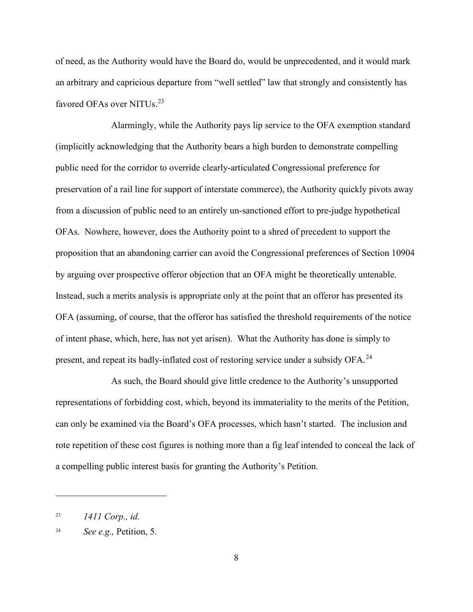of need, as the Authority would have the Board do, would be unprecedented, and it would mark an arbitrary and capricious departure from "well settled" law that strongly and consistently has favored OFAs over NITUs.<sup>[23](#page-8-0)</sup>

Alarmingly, while the Authority pays lip service to the OFA exemption standard (implicitly acknowledging that the Authority bears a high burden to demonstrate compelling public need for the corridor to override clearly-articulated Congressional preference for preservation of a rail line for support of interstate commerce), the Authority quickly pivots away from a discussion of public need to an entirely un-sanctioned effort to pre-judge hypothetical OFAs. Nowhere, however, does the Authority point to a shred of precedent to support the proposition that an abandoning carrier can avoid the Congressional preferences of Section 10904 by arguing over prospective offeror objection that an OFA might be theoretically untenable. Instead, such a merits analysis is appropriate only at the point that an offeror has presented its OFA (assuming, of course, that the offeror has satisfied the threshold requirements of the notice of intent phase, which, here, has not yet arisen). What the Authority has done is simply to present, and repeat its badly-inflated cost of restoring service under a subsidy OFA.<sup>[24](#page-8-1)</sup>

As such, the Board should give little credence to the Authority's unsupported representations of forbidding cost, which, beyond its immateriality to the merits of the Petition, can only be examined via the Board's OFA processes, which hasn't started. The inclusion and rote repetition of these cost figures is nothing more than a fig leaf intended to conceal the lack of a compelling public interest basis for granting the Authority's Petition.

<span id="page-8-0"></span><sup>23</sup> *1411 Corp., id.*

<span id="page-8-1"></span><sup>24</sup> *See e.g.,* Petition, 5.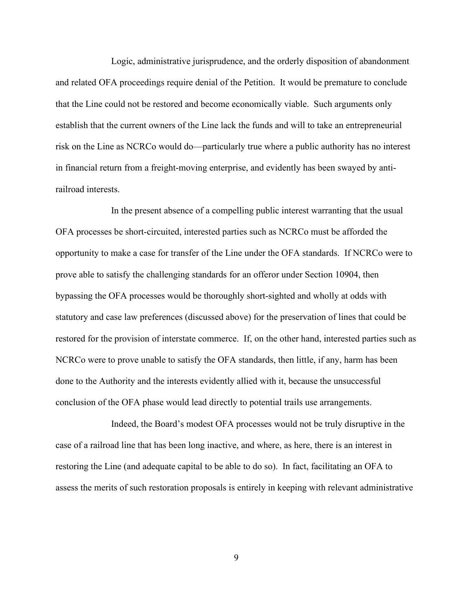Logic, administrative jurisprudence, and the orderly disposition of abandonment and related OFA proceedings require denial of the Petition. It would be premature to conclude that the Line could not be restored and become economically viable. Such arguments only establish that the current owners of the Line lack the funds and will to take an entrepreneurial risk on the Line as NCRCo would do—particularly true where a public authority has no interest in financial return from a freight-moving enterprise, and evidently has been swayed by antirailroad interests.

In the present absence of a compelling public interest warranting that the usual OFA processes be short-circuited, interested parties such as NCRCo must be afforded the opportunity to make a case for transfer of the Line under the OFA standards. If NCRCo were to prove able to satisfy the challenging standards for an offeror under Section 10904, then bypassing the OFA processes would be thoroughly short-sighted and wholly at odds with statutory and case law preferences (discussed above) for the preservation of lines that could be restored for the provision of interstate commerce. If, on the other hand, interested parties such as NCRCo were to prove unable to satisfy the OFA standards, then little, if any, harm has been done to the Authority and the interests evidently allied with it, because the unsuccessful conclusion of the OFA phase would lead directly to potential trails use arrangements.

Indeed, the Board's modest OFA processes would not be truly disruptive in the case of a railroad line that has been long inactive, and where, as here, there is an interest in restoring the Line (and adequate capital to be able to do so). In fact, facilitating an OFA to assess the merits of such restoration proposals is entirely in keeping with relevant administrative

9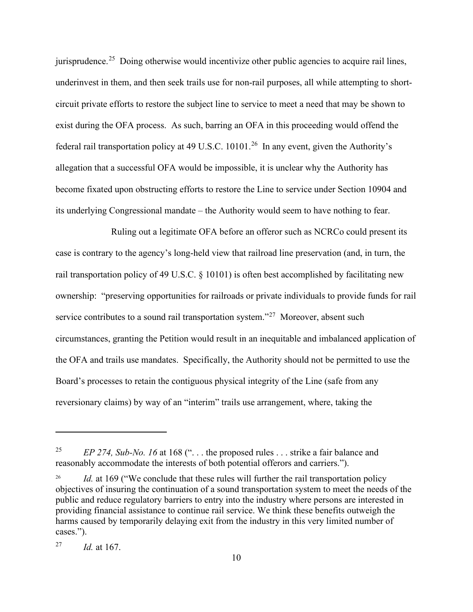jurisprudence.<sup>[25](#page-10-0)</sup> Doing otherwise would incentivize other public agencies to acquire rail lines, underinvest in them, and then seek trails use for non-rail purposes, all while attempting to shortcircuit private efforts to restore the subject line to service to meet a need that may be shown to exist during the OFA process. As such, barring an OFA in this proceeding would offend the federal rail transportation policy at 49 U.S.C.  $10101.^{26}$  In any event, given the Authority's allegation that a successful OFA would be impossible, it is unclear why the Authority has become fixated upon obstructing efforts to restore the Line to service under Section 10904 and its underlying Congressional mandate – the Authority would seem to have nothing to fear.

Ruling out a legitimate OFA before an offeror such as NCRCo could present its case is contrary to the agency's long-held view that railroad line preservation (and, in turn, the rail transportation policy of 49 U.S.C. § 10101) is often best accomplished by facilitating new ownership: "preserving opportunities for railroads or private individuals to provide funds for rail service contributes to a sound rail transportation system."<sup>27</sup> Moreover, absent such circumstances, granting the Petition would result in an inequitable and imbalanced application of the OFA and trails use mandates. Specifically, the Authority should not be permitted to use the Board's processes to retain the contiguous physical integrity of the Line (safe from any reversionary claims) by way of an "interim" trails use arrangement, where, taking the

<span id="page-10-0"></span><sup>&</sup>lt;sup>25</sup> *EP 274, Sub-No. 16* at 168 ("... the proposed rules ... strike a fair balance and reasonably accommodate the interests of both potential offerors and carriers.").

<span id="page-10-1"></span>Id. at 169 ("We conclude that these rules will further the rail transportation policy objectives of insuring the continuation of a sound transportation system to meet the needs of the public and reduce regulatory barriers to entry into the industry where persons are interested in providing financial assistance to continue rail service. We think these benefits outweigh the harms caused by temporarily delaying exit from the industry in this very limited number of cases.").

<span id="page-10-2"></span><sup>27</sup> *Id.* at 167.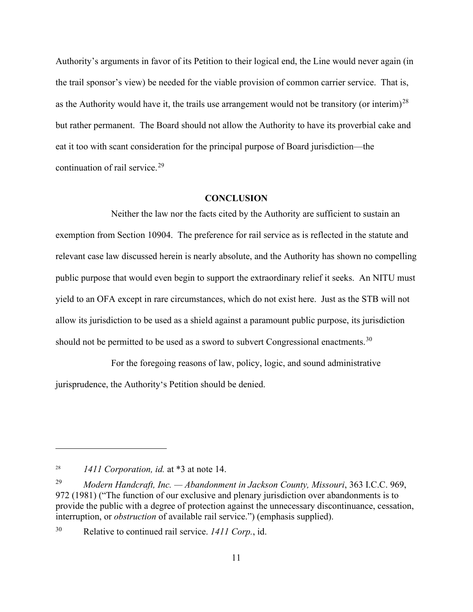Authority's arguments in favor of its Petition to their logical end, the Line would never again (in the trail sponsor's view) be needed for the viable provision of common carrier service. That is, as the Authority would have it, the trails use arrangement would not be transitory (or interim)<sup>[28](#page-11-0)</sup> but rather permanent. The Board should not allow the Authority to have its proverbial cake and eat it too with scant consideration for the principal purpose of Board jurisdiction—the continuation of rail service.<sup>[29](#page-11-1)</sup>

#### **CONCLUSION**

Neither the law nor the facts cited by the Authority are sufficient to sustain an exemption from Section 10904. The preference for rail service as is reflected in the statute and relevant case law discussed herein is nearly absolute, and the Authority has shown no compelling public purpose that would even begin to support the extraordinary relief it seeks. An NITU must yield to an OFA except in rare circumstances, which do not exist here. Just as the STB will not allow its jurisdiction to be used as a shield against a paramount public purpose, its jurisdiction should not be permitted to be used as a sword to subvert Congressional enactments.<sup>[30](#page-11-2)</sup>

For the foregoing reasons of law, policy, logic, and sound administrative jurisprudence, the Authority's Petition should be denied.

<span id="page-11-0"></span><sup>28</sup> *1411 Corporation, id.* at \*3 at note 14.

<span id="page-11-1"></span><sup>29</sup> *Modern Handcraft, Inc. — Abandonment in Jackson County, Missouri*, 363 I.C.C. 969, 972 (1981) ("The function of our exclusive and plenary jurisdiction over abandonments is to provide the public with a degree of protection against the unnecessary discontinuance, cessation, interruption, or *obstruction* of available rail service.") (emphasis supplied).

<span id="page-11-2"></span><sup>30</sup> Relative to continued rail service. *1411 Corp.*, id.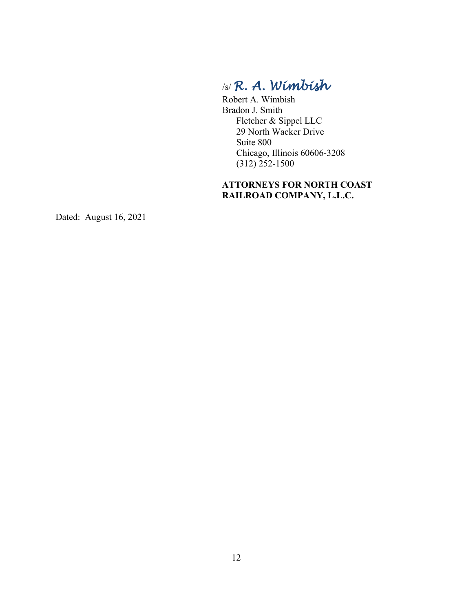# /s/ *R. A. Wimbish*

Robert A. Wimbish Bradon J. Smith Fletcher & Sippel LLC 29 North Wacker Drive Suite 800 Chicago, Illinois 60606-3208 (312) 252-1500

## **ATTORNEYS FOR NORTH COAST RAILROAD COMPANY, L.L.C.**

Dated: August 16, 2021